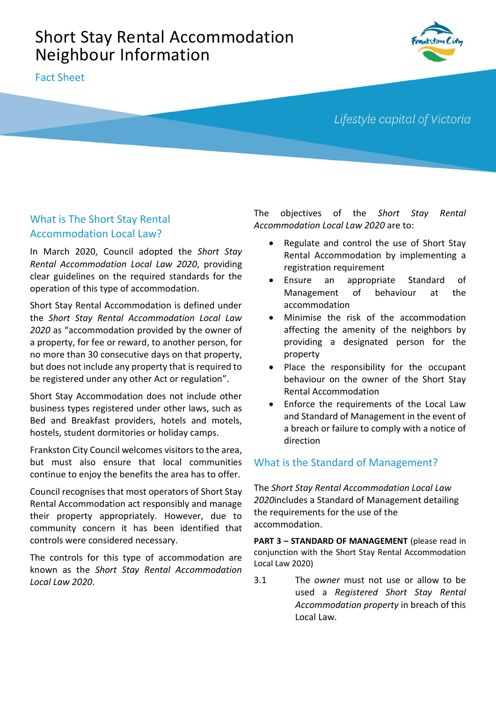# Short Stay Rental Accommodation Neighbour Information

Fact Sheet



## Lifestyle capital of Victoria

## What is The Short Stay Rental Accommodation Local Law?

In March 2020, Council adopted the *Short Stay Rental Accommodation Local Law 2020*, providing clear guidelines on the required standards for the operation of this type of accommodation.

Short Stay Rental Accommodation is defined under the *Short Stay Rental Accommodation Local Law 2020* as "accommodation provided by the owner of a property, for fee or reward, to another person, for no more than 30 consecutive days on that property, but does not include any property that is required to be registered under any other Act or regulation".

Short Stay Accommodation does not include other business types registered under other laws, such as Bed and Breakfast providers, hotels and motels, hostels, student dormitories or holiday camps.

Frankston City Council welcomes visitors to the area, but must also ensure that local communities continue to enjoy the benefits the area has to offer.

Council recognises that most operators of Short Stay Rental Accommodation act responsibly and manage their property appropriately. However, due to community concern it has been identified that controls were considered necessary.

The controls for this type of accommodation are known as the *Short Stay Rental Accommodation Local Law 2020*.

The objectives of the *Short Stay Rental Accommodation Local Law 2020* are to:

- Regulate and control the use of Short Stay Rental Accommodation by implementing a registration requirement
- Ensure an appropriate Standard of Management of behaviour at the accommodation
- Minimise the risk of the accommodation affecting the amenity of the neighbors by providing a designated person for the property
- Place the responsibility for the occupant behaviour on the owner of the Short Stay Rental Accommodation
- Enforce the requirements of the Local Law and Standard of Management in the event of a breach or failure to comply with a notice of direction

## What is the Standard of Management?

The *Short Stay Rental Accommodation Local Law 2020*includes a Standard of Management detailing the requirements for the use of the accommodation.

**PART 3 – STANDARD OF MANAGEMENT** (please read in conjunction with the Short Stay Rental Accommodation Local Law 2020)

3.1 The *owner* must not use or allow to be used a *Registered Short Stay Rental Accommodation property* in breach of this Local Law.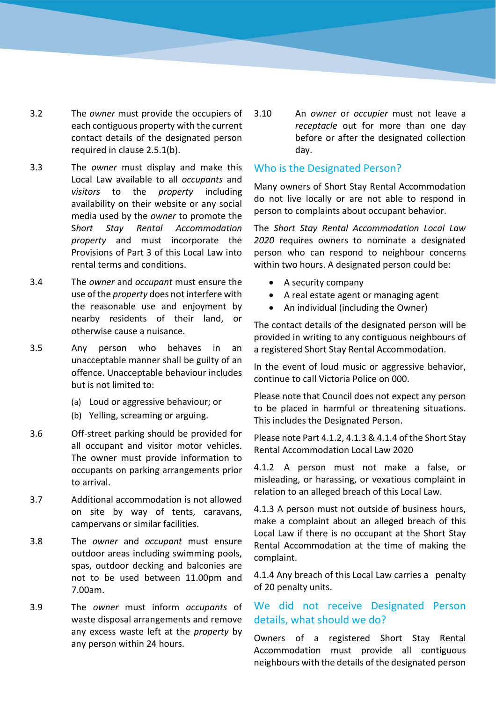- 3.2 The *owner* must provide the occupiers of each contiguous property with the current contact details of the designated person required in clause 2.5.1(b).
- 3.3 The *owner* must display and make this Local Law available to all *occupants* and *visitors* to the *property* including availability on their website or any social media used by the *owner* to promote the S*hort Stay Rental Accommodation property* and must incorporate the Provisions of Part 3 of this Local Law into rental terms and conditions.
- 3.4 The *owner* and *occupant* must ensure the use of the *property* does not interfere with the reasonable use and enjoyment by nearby residents of their land, or otherwise cause a nuisance.
- 3.5 Any person who behaves in an unacceptable manner shall be guilty of an offence. Unacceptable behaviour includes but is not limited to:
	- (a) Loud or aggressive behaviour; or
	- (b) Yelling, screaming or arguing.
- 3.6 Off-street parking should be provided for all occupant and visitor motor vehicles. The owner must provide information to occupants on parking arrangements prior to arrival.
- 3.7 Additional accommodation is not allowed on site by way of tents, caravans, campervans or similar facilities.
- 3.8 The *owner* and *occupant* must ensure outdoor areas including swimming pools, spas, outdoor decking and balconies are not to be used between 11.00pm and 7.00am.
- 3.9 The *owner* must inform *occupants* of waste disposal arrangements and remove any excess waste left at the *property* by any person within 24 hours.

3.10 An *owner* or *occupier* must not leave a *receptacle* out for more than one day before or after the designated collection day.

#### Who is the Designated Person?

Many owners of Short Stay Rental Accommodation do not live locally or are not able to respond in person to complaints about occupant behavior.

The *Short Stay Rental Accommodation Local Law 2020* requires owners to nominate a designated person who can respond to neighbour concerns within two hours. A designated person could be:

- A security company
- A real estate agent or managing agent
- An individual (including the Owner)

The contact details of the designated person will be provided in writing to any contiguous neighbours of a registered Short Stay Rental Accommodation.

In the event of loud music or aggressive behavior, continue to call Victoria Police on 000.

Please note that Council does not expect any person to be placed in harmful or threatening situations. This includes the Designated Person.

Please note Part 4.1.2, 4.1.3 & 4.1.4 of the Short Stay Rental Accommodation Local Law 2020

4.1.2 A person must not make a false, or misleading, or harassing, or vexatious complaint in relation to an alleged breach of this Local Law.

4.1.3 A person must not outside of business hours, make a complaint about an alleged breach of this Local Law if there is no occupant at the Short Stay Rental Accommodation at the time of making the complaint.

4.1.4 Any breach of this Local Law carries a penalty of 20 penalty units.

### We did not receive Designated Person details, what should we do?

Owners of a registered Short Stay Rental Accommodation must provide all contiguous neighbours with the details of the designated person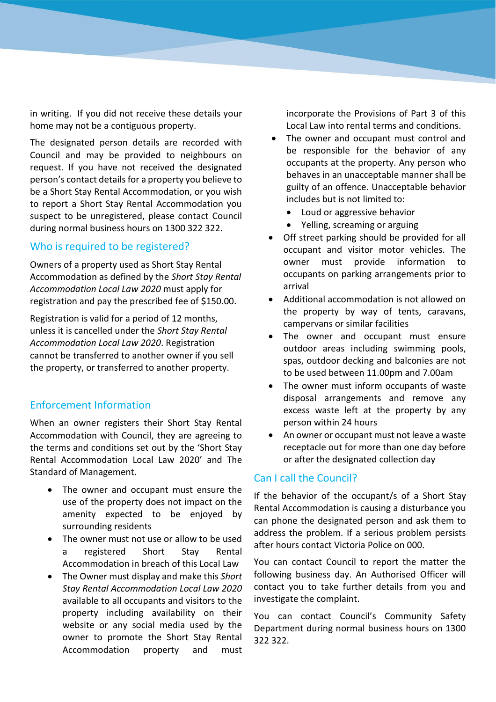in writing. If you did not receive these details your home may not be a contiguous property.

The designated person details are recorded with Council and may be provided to neighbours on request. If you have not received the designated person's contact details for a property you believe to be a Short Stay Rental Accommodation, or you wish to report a Short Stay Rental Accommodation you suspect to be unregistered, please contact Council during normal business hours on 1300 322 322.

#### Who is required to be registered?

Owners of a property used as Short Stay Rental Accommodation as defined by the *Short Stay Rental Accommodation Local Law 2020* must apply for registration and pay the prescribed fee of \$150.00.

Registration is valid for a period of 12 months, unless it is cancelled under the *Short Stay Rental Accommodation Local Law 2020*. Registration cannot be transferred to another owner if you sell the property, or transferred to another property.

#### Enforcement Information

When an owner registers their Short Stay Rental Accommodation with Council, they are agreeing to the terms and conditions set out by the 'Short Stay Rental Accommodation Local Law 2020' and The Standard of Management.

- The owner and occupant must ensure the use of the property does not impact on the amenity expected to be enjoyed by surrounding residents
- The owner must not use or allow to be used a registered Short Stay Rental Accommodation in breach of this Local Law
- The Owner must display and make this *Short Stay Rental Accommodation Local Law 2020* available to all occupants and visitors to the property including availability on their website or any social media used by the owner to promote the Short Stay Rental Accommodation property and must

incorporate the Provisions of Part 3 of this Local Law into rental terms and conditions.

- The owner and occupant must control and be responsible for the behavior of any occupants at the property. Any person who behaves in an unacceptable manner shall be guilty of an offence. Unacceptable behavior includes but is not limited to:
	- Loud or aggressive behavior
	- Yelling, screaming or arguing
- Off street parking should be provided for all occupant and visitor motor vehicles. The owner must provide information to occupants on parking arrangements prior to arrival
- Additional accommodation is not allowed on the property by way of tents, caravans, campervans or similar facilities
- The owner and occupant must ensure outdoor areas including swimming pools, spas, outdoor decking and balconies are not to be used between 11.00pm and 7.00am
- The owner must inform occupants of waste disposal arrangements and remove any excess waste left at the property by any person within 24 hours
- An owner or occupant must not leave a waste receptacle out for more than one day before or after the designated collection day

#### Can I call the Council?

If the behavior of the occupant/s of a Short Stay Rental Accommodation is causing a disturbance you can phone the designated person and ask them to address the problem. If a serious problem persists after hours contact Victoria Police on 000.

You can contact Council to report the matter the following business day. An Authorised Officer will contact you to take further details from you and investigate the complaint.

You can contact Council's Community Safety Department during normal business hours on 1300 322 322.